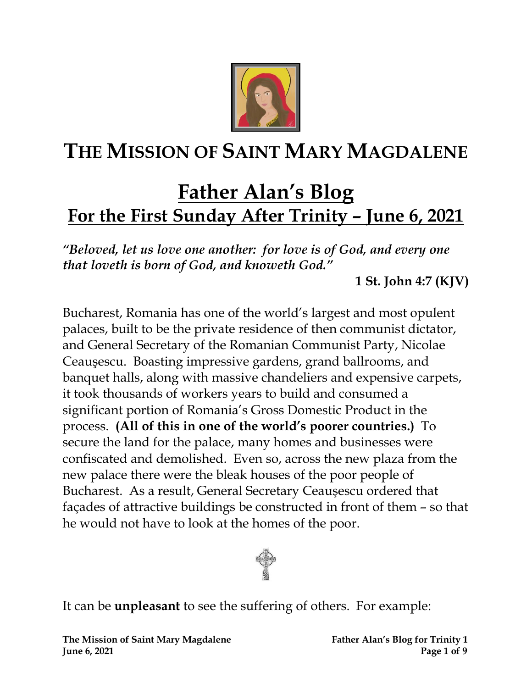

# **THE MISSION OF SAINT MARY MAGDALENE**

## **Father Alan's Blog For the First Sunday After Trinity – June 6, 2021**

*"Beloved, let us love one another: for love is of God, and every one that loveth is born of God, and knoweth God."*

**1 St. John 4:7 (KJV)**

Bucharest, Romania has one of the world's largest and most opulent palaces, built to be the private residence of then communist dictator, and General Secretary of the Romanian Communist Party, Nicolae Ceauşescu. Boasting impressive gardens, grand ballrooms, and banquet halls, along with massive chandeliers and expensive carpets, it took thousands of workers years to build and consumed a significant portion of Romania's Gross Domestic Product in the process. **(All of this in one of the world's poorer countries.)** To secure the land for the palace, many homes and businesses were confiscated and demolished. Even so, across the new plaza from the new palace there were the bleak houses of the poor people of Bucharest. As a result, General Secretary Ceauşescu ordered that façades of attractive buildings be constructed in front of them – so that he would not have to look at the homes of the poor.



It can be **unpleasant** to see the suffering of others. For example: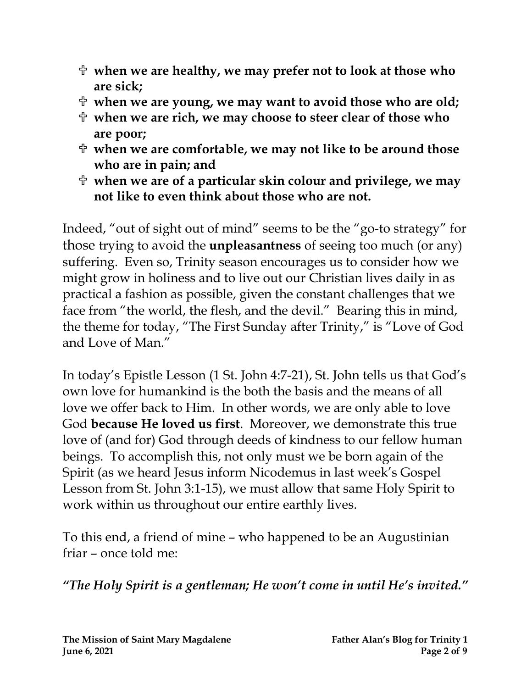- **when we are healthy, we may prefer not to look at those who are sick;**
- **when we are young, we may want to avoid those who are old;**
- **when we are rich, we may choose to steer clear of those who are poor;**
- **when we are comfortable, we may not like to be around those who are in pain; and**
- **when we are of a particular skin colour and privilege, we may not like to even think about those who are not.**

Indeed, "out of sight out of mind" seems to be the "go-to strategy" for those trying to avoid the **unpleasantness** of seeing too much (or any) suffering. Even so, Trinity season encourages us to consider how we might grow in holiness and to live out our Christian lives daily in as practical a fashion as possible, given the constant challenges that we face from "the world, the flesh, and the devil." Bearing this in mind, the theme for today, "The First Sunday after Trinity," is "Love of God and Love of Man."

In today's Epistle Lesson (1 St. John 4:7-21), St. John tells us that God's own love for humankind is the both the basis and the means of all love we offer back to Him. In other words, we are only able to love God **because He loved us first**. Moreover, we demonstrate this true love of (and for) God through deeds of kindness to our fellow human beings. To accomplish this, not only must we be born again of the Spirit (as we heard Jesus inform Nicodemus in last week's Gospel Lesson from St. John 3:1-15), we must allow that same Holy Spirit to work within us throughout our entire earthly lives.

To this end, a friend of mine – who happened to be an Augustinian friar – once told me:

*"The Holy Spirit is a gentleman; He won't come in until He's invited."*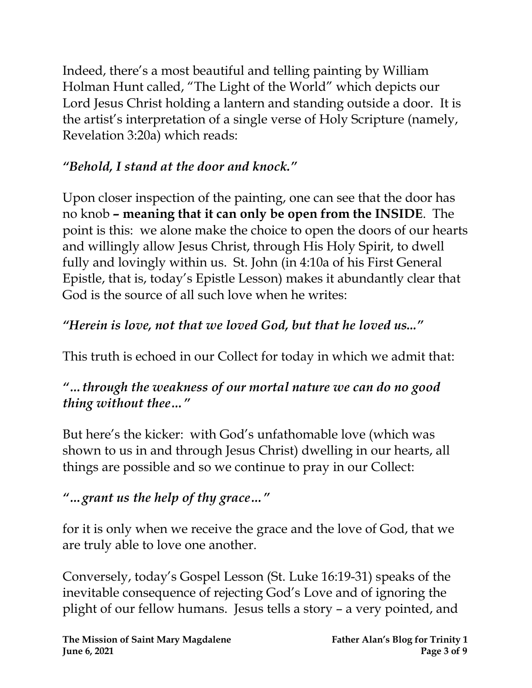Indeed, there's a most beautiful and telling painting by William Holman Hunt called, "The Light of the World" which depicts our Lord Jesus Christ holding a lantern and standing outside a door. It is the artist's interpretation of a single verse of Holy Scripture (namely, Revelation 3:20a) which reads:

### *"Behold, I stand at the door and knock."*

Upon closer inspection of the painting, one can see that the door has no knob **– meaning that it can only be open from the INSIDE**. The point is this: we alone make the choice to open the doors of our hearts and willingly allow Jesus Christ, through His Holy Spirit, to dwell fully and lovingly within us. St. John (in 4:10a of his First General Epistle, that is, today's Epistle Lesson) makes it abundantly clear that God is the source of all such love when he writes:

### *"Herein is love, not that we loved God, but that he loved us..."*

This truth is echoed in our Collect for today in which we admit that:

### *"…through the weakness of our mortal nature we can do no good thing without thee…"*

But here's the kicker: with God's unfathomable love (which was shown to us in and through Jesus Christ) dwelling in our hearts, all things are possible and so we continue to pray in our Collect:

### *"…grant us the help of thy grace…"*

for it is only when we receive the grace and the love of God, that we are truly able to love one another.

Conversely, today's Gospel Lesson (St. Luke 16:19-31) speaks of the inevitable consequence of rejecting God's Love and of ignoring the plight of our fellow humans. Jesus tells a story – a very pointed, and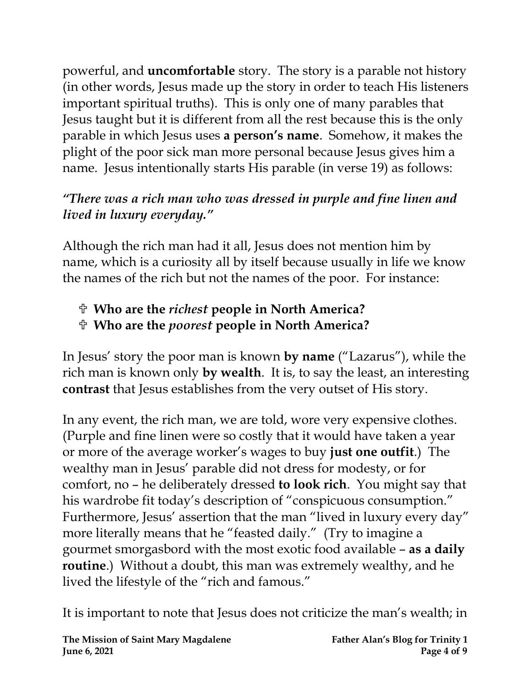powerful, and **uncomfortable** story. The story is a parable not history (in other words, Jesus made up the story in order to teach His listeners important spiritual truths). This is only one of many parables that Jesus taught but it is different from all the rest because this is the only parable in which Jesus uses **a person's name**. Somehow, it makes the plight of the poor sick man more personal because Jesus gives him a name. Jesus intentionally starts His parable (in verse 19) as follows:

### *"There was a rich man who was dressed in purple and fine linen and lived in luxury everyday."*

Although the rich man had it all, Jesus does not mention him by name, which is a curiosity all by itself because usually in life we know the names of the rich but not the names of the poor. For instance:

# **Who are the** *richest* **people in North America?**

### **Who are the** *poorest* **people in North America?**

In Jesus' story the poor man is known **by name** ("Lazarus"), while the rich man is known only **by wealth**. It is, to say the least, an interesting **contrast** that Jesus establishes from the very outset of His story.

In any event, the rich man, we are told, wore very expensive clothes. (Purple and fine linen were so costly that it would have taken a year or more of the average worker's wages to buy **just one outfit**.) The wealthy man in Jesus' parable did not dress for modesty, or for comfort, no – he deliberately dressed **to look rich**. You might say that his wardrobe fit today's description of "conspicuous consumption." Furthermore, Jesus' assertion that the man "lived in luxury every day" more literally means that he "feasted daily." (Try to imagine a gourmet smorgasbord with the most exotic food available – **as a daily routine**.) Without a doubt, this man was extremely wealthy, and he lived the lifestyle of the "rich and famous."

It is important to note that Jesus does not criticize the man's wealth; in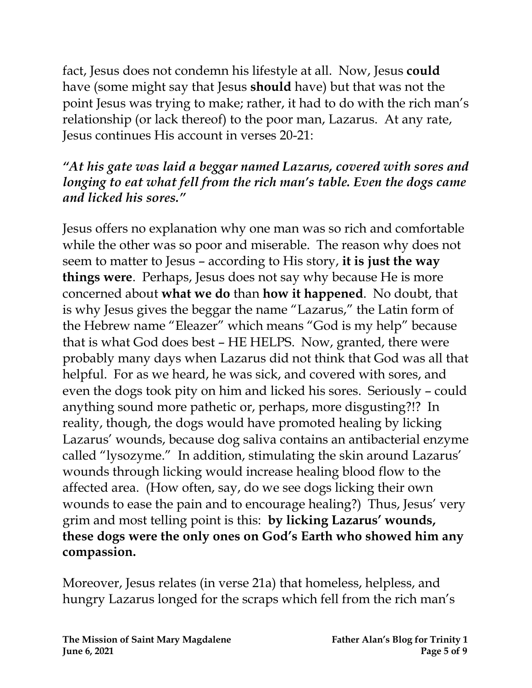fact, Jesus does not condemn his lifestyle at all. Now, Jesus **could** have (some might say that Jesus **should** have) but that was not the point Jesus was trying to make; rather, it had to do with the rich man's relationship (or lack thereof) to the poor man, Lazarus. At any rate, Jesus continues His account in verses 20-21:

### *"At his gate was laid a beggar named Lazarus, covered with sores and longing to eat what fell from the rich man's table. Even the dogs came and licked his sores."*

Jesus offers no explanation why one man was so rich and comfortable while the other was so poor and miserable. The reason why does not seem to matter to Jesus – according to His story, **it is just the way things were**. Perhaps, Jesus does not say why because He is more concerned about **what we do** than **how it happened**. No doubt, that is why Jesus gives the beggar the name "Lazarus," the Latin form of the Hebrew name "Eleazer" which means "God is my help" because that is what God does best – HE HELPS. Now, granted, there were probably many days when Lazarus did not think that God was all that helpful. For as we heard, he was sick, and covered with sores, and even the dogs took pity on him and licked his sores. Seriously – could anything sound more pathetic or, perhaps, more disgusting?!? In reality, though, the dogs would have promoted healing by licking Lazarus' wounds, because dog saliva contains an antibacterial enzyme called "lysozyme." In addition, stimulating the skin around Lazarus' wounds through licking would increase healing blood flow to the affected area. (How often, say, do we see dogs licking their own wounds to ease the pain and to encourage healing?) Thus, Jesus' very grim and most telling point is this: **by licking Lazarus' wounds, these dogs were the only ones on God's Earth who showed him any compassion.**

Moreover, Jesus relates (in verse 21a) that homeless, helpless, and hungry Lazarus longed for the scraps which fell from the rich man's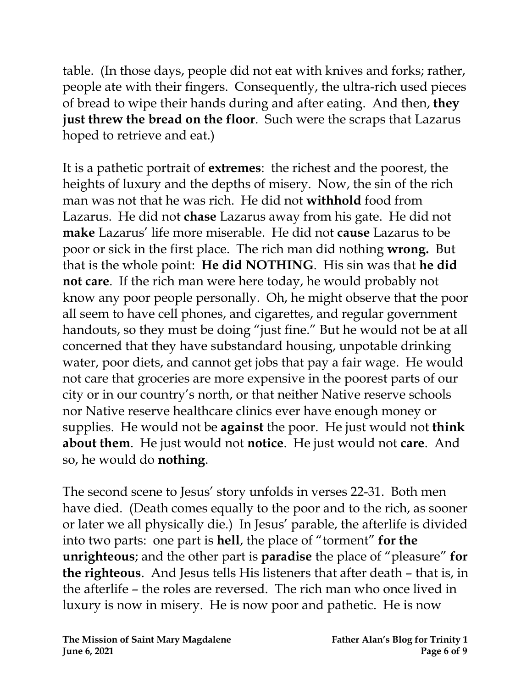table. (In those days, people did not eat with knives and forks; rather, people ate with their fingers. Consequently, the ultra-rich used pieces of bread to wipe their hands during and after eating. And then, **they just threw the bread on the floor**. Such were the scraps that Lazarus hoped to retrieve and eat.)

It is a pathetic portrait of **extremes**: the richest and the poorest, the heights of luxury and the depths of misery. Now, the sin of the rich man was not that he was rich. He did not **withhold** food from Lazarus. He did not **chase** Lazarus away from his gate. He did not **make** Lazarus' life more miserable. He did not **cause** Lazarus to be poor or sick in the first place. The rich man did nothing **wrong.** But that is the whole point: **He did NOTHING**. His sin was that **he did not care**. If the rich man were here today, he would probably not know any poor people personally. Oh, he might observe that the poor all seem to have cell phones, and cigarettes, and regular government handouts, so they must be doing "just fine." But he would not be at all concerned that they have substandard housing, unpotable drinking water, poor diets, and cannot get jobs that pay a fair wage. He would not care that groceries are more expensive in the poorest parts of our city or in our country's north, or that neither Native reserve schools nor Native reserve healthcare clinics ever have enough money or supplies. He would not be **against** the poor. He just would not **think about them**. He just would not **notice**. He just would not **care**. And so, he would do **nothing**.

The second scene to Jesus' story unfolds in verses 22-31. Both men have died. (Death comes equally to the poor and to the rich, as sooner or later we all physically die.) In Jesus' parable, the afterlife is divided into two parts: one part is **hell**, the place of "torment" **for the unrighteous**; and the other part is **paradise** the place of "pleasure" **for the righteous**. And Jesus tells His listeners that after death – that is, in the afterlife – the roles are reversed. The rich man who once lived in luxury is now in misery. He is now poor and pathetic. He is now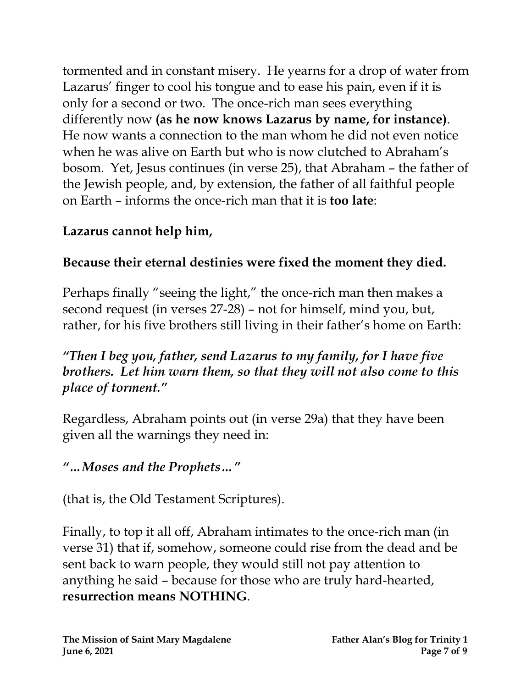tormented and in constant misery. He yearns for a drop of water from Lazarus' finger to cool his tongue and to ease his pain, even if it is only for a second or two. The once-rich man sees everything differently now **(as he now knows Lazarus by name, for instance)**. He now wants a connection to the man whom he did not even notice when he was alive on Earth but who is now clutched to Abraham's bosom. Yet, Jesus continues (in verse 25), that Abraham – the father of the Jewish people, and, by extension, the father of all faithful people on Earth – informs the once-rich man that it is **too late**:

### **Lazarus cannot help him,**

### **Because their eternal destinies were fixed the moment they died.**

Perhaps finally "seeing the light," the once-rich man then makes a second request (in verses 27-28) – not for himself, mind you, but, rather, for his five brothers still living in their father's home on Earth:

### *"Then I beg you, father, send Lazarus to my family, for I have five brothers. Let him warn them, so that they will not also come to this place of torment."*

Regardless, Abraham points out (in verse 29a) that they have been given all the warnings they need in:

### *"…Moses and the Prophets…"*

(that is, the Old Testament Scriptures).

Finally, to top it all off, Abraham intimates to the once-rich man (in verse 31) that if, somehow, someone could rise from the dead and be sent back to warn people, they would still not pay attention to anything he said – because for those who are truly hard-hearted, **resurrection means NOTHING**.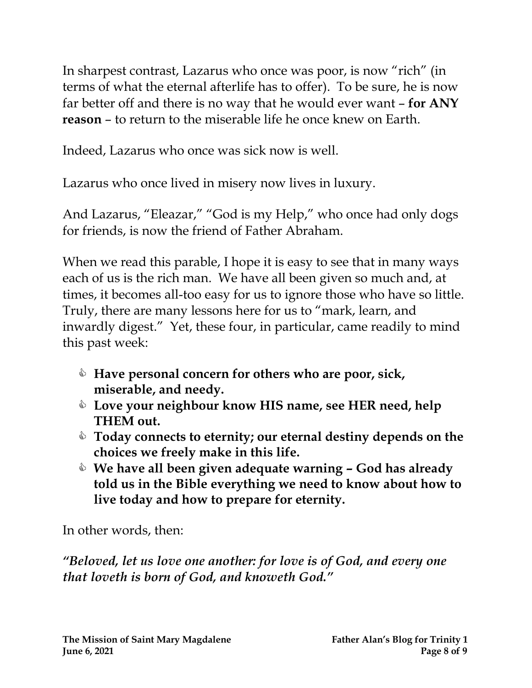In sharpest contrast, Lazarus who once was poor, is now "rich" (in terms of what the eternal afterlife has to offer). To be sure, he is now far better off and there is no way that he would ever want – **for ANY reason** – to return to the miserable life he once knew on Earth.

Indeed, Lazarus who once was sick now is well.

Lazarus who once lived in misery now lives in luxury.

And Lazarus, "Eleazar," "God is my Help," who once had only dogs for friends, is now the friend of Father Abraham.

When we read this parable, I hope it is easy to see that in many ways each of us is the rich man. We have all been given so much and, at times, it becomes all-too easy for us to ignore those who have so little. Truly, there are many lessons here for us to "mark, learn, and inwardly digest." Yet, these four, in particular, came readily to mind this past week:

- **Have personal concern for others who are poor, sick, miserable, and needy.**
- **Love your neighbour know HIS name, see HER need, help THEM out.**
- **Today connects to eternity; our eternal destiny depends on the choices we freely make in this life.**
- **We have all been given adequate warning – God has already told us in the Bible everything we need to know about how to live today and how to prepare for eternity.**

In other words, then:

*"Beloved, let us love one another: for love is of God, and every one that loveth is born of God, and knoweth God."*